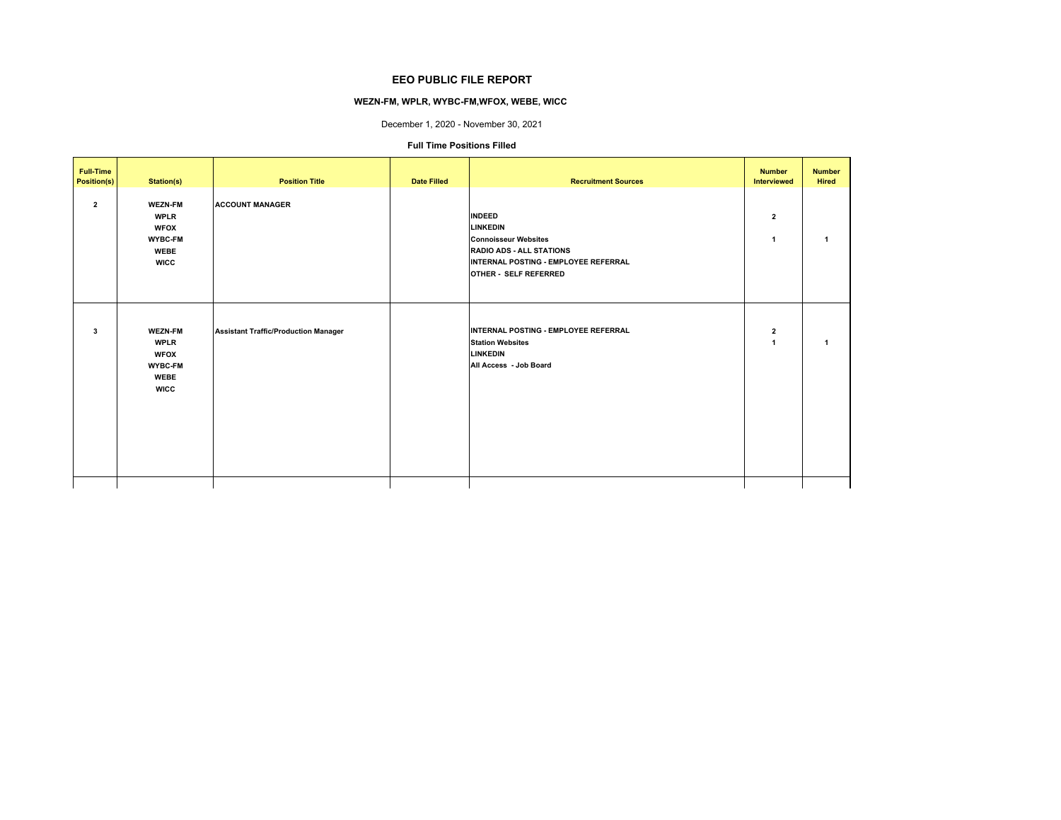## **EEO PUBLIC FILE REPORT**

# **WEZN-FM, WPLR, WYBC-FM,WFOX, WEBE, WICC**

December 1, 2020 - November 30, 2021

### **Full Time Positions Filled**

| <b>Full-Time</b><br><b>Position(s)</b> | Station(s)                                                                                   | <b>Position Title</b>                       | <b>Date Filled</b> | <b>Recruitment Sources</b>                                                                                                                                   | <b>Number</b><br>Interviewed         | <b>Number</b><br>Hired |
|----------------------------------------|----------------------------------------------------------------------------------------------|---------------------------------------------|--------------------|--------------------------------------------------------------------------------------------------------------------------------------------------------------|--------------------------------------|------------------------|
| $\overline{2}$                         | <b>WEZN-FM</b><br><b>WPLR</b><br><b>WFOX</b><br>WYBC-FM<br><b>WEBE</b><br><b>WICC</b>        | <b>ACCOUNT MANAGER</b>                      |                    | <b>INDEED</b><br>LINKEDIN<br><b>Connoisseur Websites</b><br><b>RADIO ADS - ALL STATIONS</b><br>INTERNAL POSTING - EMPLOYEE REFERRAL<br>OTHER - SELF REFERRED | $\mathbf{2}$<br>1                    |                        |
| 3                                      | <b>WEZN-FM</b><br><b>WPLR</b><br><b>WFOX</b><br><b>WYBC-FM</b><br><b>WEBE</b><br><b>WICC</b> | <b>Assistant Traffic/Production Manager</b> |                    | INTERNAL POSTING - EMPLOYEE REFERRAL<br><b>Station Websites</b><br><b>LINKEDIN</b><br>All Access - Job Board                                                 | $\mathbf{2}$<br>$\blacktriangleleft$ | 1                      |
|                                        |                                                                                              |                                             |                    |                                                                                                                                                              |                                      |                        |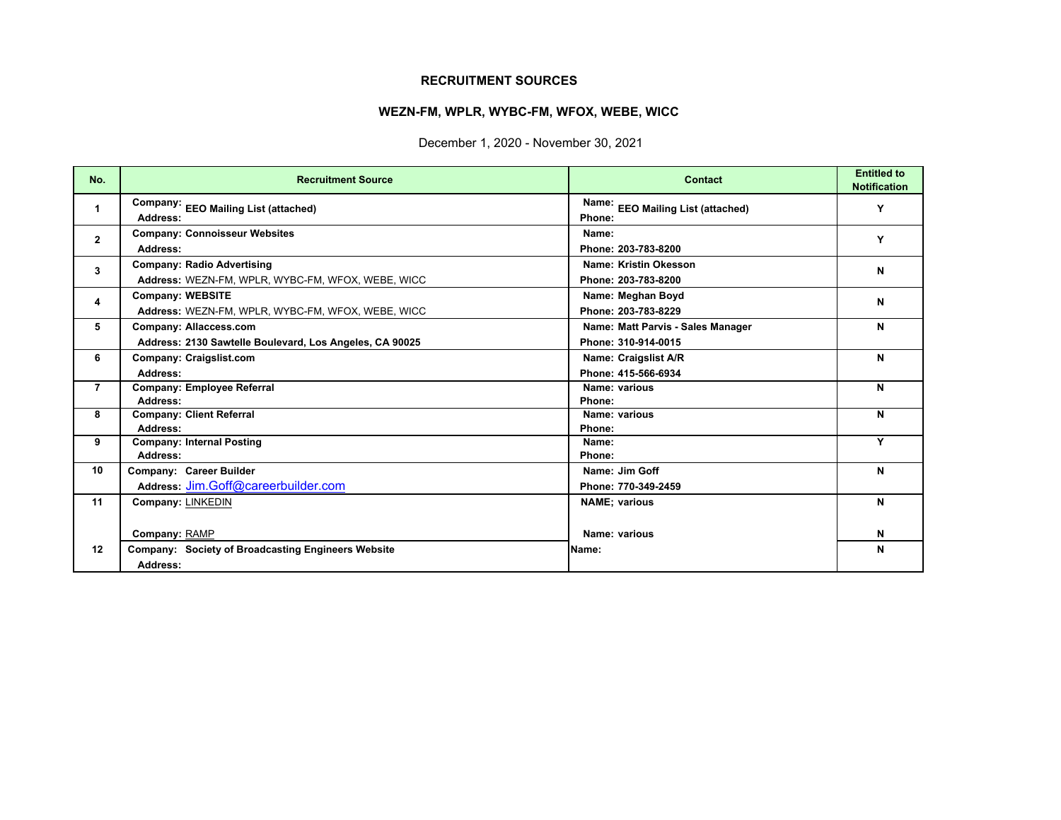# **RECRUITMENT SOURCES**

# **WEZN-FM, WPLR, WYBC-FM, WFOX, WEBE, WICC**

December 1, 2020 - November 30, 2021

| No.            | <b>Recruitment Source</b>                                                              | Contact                                                  | <b>Entitled to</b><br><b>Notification</b> |
|----------------|----------------------------------------------------------------------------------------|----------------------------------------------------------|-------------------------------------------|
| 1              | Company: EEO Mailing List (attached)<br>Address:                                       | Name: EEO Mailing List (attached)<br>Phone:              | Y                                         |
| $\overline{2}$ | <b>Company: Connoisseur Websites</b><br>Address:                                       | Name:<br>Phone: 203-783-8200                             | Y                                         |
| 3              | <b>Company: Radio Advertising</b><br>Address: WEZN-FM, WPLR, WYBC-FM, WFOX, WEBE, WICC | Name: Kristin Okesson<br>Phone: 203-783-8200             | N                                         |
| 4              | <b>Company: WEBSITE</b><br>Address: WEZN-FM, WPLR, WYBC-FM, WFOX, WEBE, WICC           | Name: Meghan Boyd<br>Phone: 203-783-8229                 | N                                         |
| 5              | Company: Allaccess.com<br>Address: 2130 Sawtelle Boulevard, Los Angeles, CA 90025      | Name: Matt Parvis - Sales Manager<br>Phone: 310-914-0015 | N                                         |
| 6              | Company: Craigslist.com<br>Address:                                                    | Name: Craigslist A/R<br>Phone: 415-566-6934              | N                                         |
| $\overline{7}$ | Company: Employee Referral<br>Address:                                                 | Name: various<br>Phone:                                  | N                                         |
| 8              | <b>Company: Client Referral</b><br>Address:                                            | Name: various<br>Phone:                                  | N                                         |
| 9              | <b>Company: Internal Posting</b><br>Address:                                           | Name:<br>Phone:                                          | v                                         |
| 10             | Company: Career Builder<br>Address: Jim.Goff@careerbuilder.com                         | Name: Jim Goff<br>Phone: 770-349-2459                    | N                                         |
| 11             | Company: LINKEDIN                                                                      | <b>NAME</b> ; various                                    | N                                         |
|                | Company: RAMP                                                                          | Name: various                                            | N                                         |
| 12             | <b>Company: Society of Broadcasting Engineers Website</b><br>Address:                  | Name:                                                    | N                                         |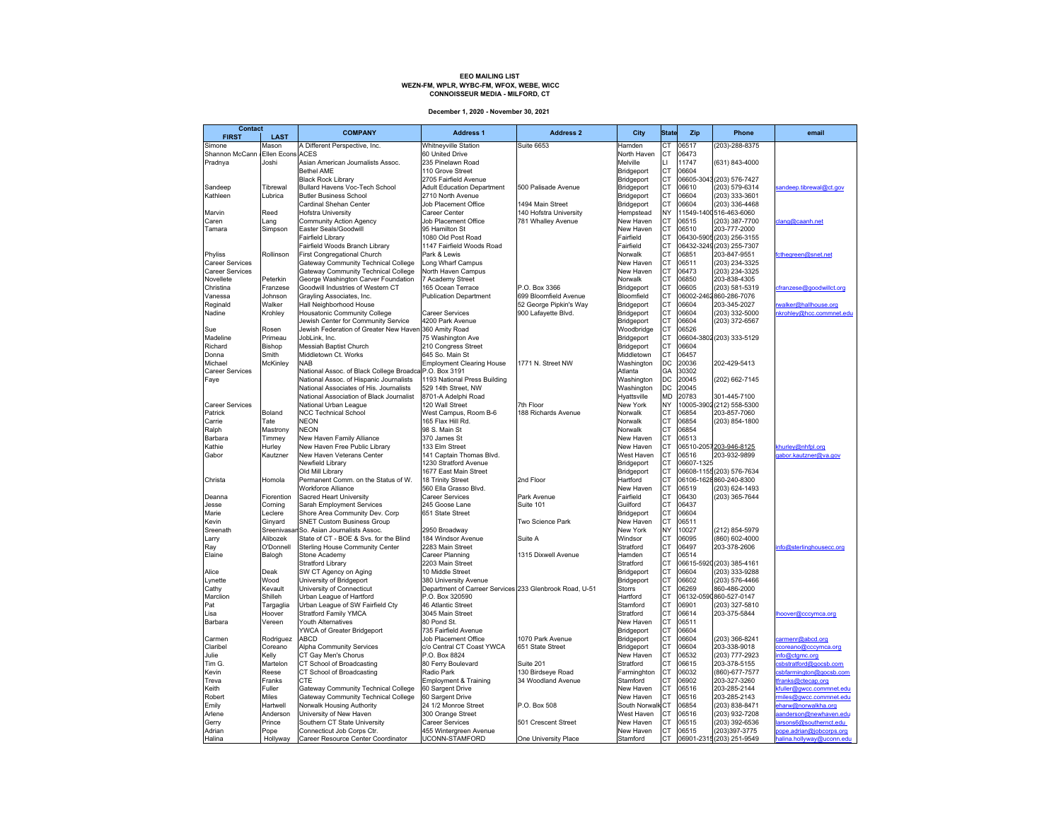# EEO MAILING LIST<br>WEZN-FM, WPLR, WYBC-FM, WFOX, WEBE, WICC **CONNOISSEUR MEDIA - MILFORD, CT**

**December 1, 2020 - November 30, 2021**

| <b>Contact</b><br><b>FIRST</b> | <b>LAST</b>             | <b>COMPANY</b>                                                             | <b>Address 1</b>                                        | <b>Address 2</b>       | City                        | <b>State</b>           | Zip            | Phone                            | email                                        |
|--------------------------------|-------------------------|----------------------------------------------------------------------------|---------------------------------------------------------|------------------------|-----------------------------|------------------------|----------------|----------------------------------|----------------------------------------------|
| Simone                         | Mason                   | A Different Perspective, Inc.                                              | <b>Whitneyville Station</b>                             | <b>Suite 6653</b>      | Hamden                      | СT                     | 06517          | (203)-288-8375                   |                                              |
| Shannon McCann                 | <b>Ellen Econs ACES</b> |                                                                            | 60 United Drive                                         |                        | North Haven                 | СT                     | 06473          |                                  |                                              |
| Pradnya                        | Joshi                   | Asian American Journalists Assoc.                                          | 235 Pinelawn Road                                       |                        | Melville                    | LI                     | 11747          | (631) 843-4000                   |                                              |
|                                |                         | <b>Bethel AME</b>                                                          | 110 Grove Street                                        |                        | Bridgeport                  | CT                     | 06604          |                                  |                                              |
|                                |                         | <b>Black Rock Library</b>                                                  | 2705 Fairfield Avenue                                   |                        | Bridgeport                  | CT                     |                | 06605-3043 (203) 576-7427        |                                              |
| Sandeep                        | Tibrewal                | Bullard Havens Voc-Tech School                                             | <b>Adult Education Department</b>                       | 500 Palisade Avenue    | Bridgeport                  | CT                     | 06610          | (203) 579-6314                   | sandeep.tibrewal@ct.gov                      |
| Kathleen                       | Lubrica                 | <b>Butler Business School</b>                                              | 2710 North Avenue                                       |                        | Bridgeport                  | СT                     | 06604          | (203) 333-3601                   |                                              |
|                                |                         | Cardinal Shehan Center                                                     | Job Placement Office                                    | 1494 Main Street       | Bridgeport                  | CT                     | 06604          | (203) 336-4468                   |                                              |
| Marvin                         | Reed                    | Hofstra University                                                         | Career Center                                           | 140 Hofstra University | Hempstead                   | NY                     |                | 11549-1400516-463-6060           |                                              |
| Caren                          | Lang                    | Community Action Agency                                                    | Job Placement Office                                    | 781 Whalley Avenue     | New Haven                   | СT                     | 06515          | (203) 387-7700                   | clang@caanh.net                              |
| Tamara                         | Simpson                 | Easter Seals/Goodwill                                                      | 95 Hamilton St                                          |                        | New Haven                   | <b>CT</b>              | 06510          | 203-777-2000                     |                                              |
|                                |                         | Fairfield Library                                                          | 1080 Old Post Road                                      |                        | Fairfield                   | CT<br><b>CT</b>        |                | 06430-5905 (203) 256-3155        |                                              |
|                                |                         | Fairfield Woods Branch Library                                             | 1147 Fairfield Woods Road                               |                        | Fairfield                   | <b>CT</b>              |                | 06432-3249 (203) 255-7307        |                                              |
| Phyliss<br>Career Services     | Rollinson               | First Congregational Church<br>Gateway Community Technical College         | Park & Lewis<br>Long Wharf Campus                       |                        | Norwalk<br>New Haven        | <b>CT</b>              | 06851<br>06511 | 203-847-9551<br>(203) 234-3325   | fcthegreen@snet.net                          |
| <b>Career Services</b>         |                         |                                                                            |                                                         |                        | New Haven                   | <b>CT</b>              | 06473          | (203) 234-3325                   |                                              |
| Novellete                      | Peterkin                | Gateway Community Technical College<br>George Washington Carver Foundation | North Haven Campus<br>7 Academy Street                  |                        | Norwalk                     | <b>CT</b>              | 06850          | 203-838-4305                     |                                              |
| Christina                      | Franzese                | Goodwill Industries of Western CT                                          | 165 Ocean Terrace                                       | P.O. Box 3366          | Bridgeport                  | <b>CT</b>              | 06605          | (203) 581-5319                   | cfranzese@goodwillct.org                     |
| Vanessa                        | Johnson                 | Grayling Associates, Inc.                                                  | <b>Publication Department</b>                           | 699 Bloomfield Avenue  | Bloomfield                  | <b>CT</b>              | 06002-2462     | 860-286-7076                     |                                              |
| Reginald                       | Walker                  | Hall Neighborhood House                                                    |                                                         | 52 George Pipkin's Way | Bridgeport                  | <b>CT</b>              | 06604          | 203-345-2027                     | walker@hallhouse.org                         |
| Nadine                         | Krohley                 | Housatonic Community College                                               | Career Services                                         | 900 Lafayette Blvd.    | Bridgeport                  | <b>CT</b>              | 06604          | (203) 332-5000                   | nkrohley@hcc.commnet.edu                     |
|                                |                         | Jewish Center for Community Service                                        | 4200 Park Avenue                                        |                        | Bridgeport                  | CT                     | 06604          | (203) 372-6567                   |                                              |
| Sue                            | Rosen                   | Jewish Federation of Greater New Haven 360 Amity Road                      |                                                         |                        | Woodbridge                  | CT                     | 06526          |                                  |                                              |
| Madeline                       | Primeau                 | JobLink, Inc.                                                              | 75 Washington Ave                                       |                        | Bridgeport                  | CT                     |                | 06604-3802 (203) 333-5129        |                                              |
| Richard                        | Bishop                  | Messiah Baptist Church                                                     | 210 Congress Street                                     |                        | Bridgeport                  | СT                     | 06604          |                                  |                                              |
| Donna                          | Smith                   | Middletown Ct. Works                                                       | 645 So. Main St                                         |                        | Middletown                  | CT                     | 06457          |                                  |                                              |
| Michael                        | McKinley                | <b>NAB</b>                                                                 | <b>Employment Clearing House</b>                        | 1771 N. Street NW      | Washington                  | DC                     | 20036          | 202-429-5413                     |                                              |
| <b>Career Services</b>         |                         | National Assoc. of Black College Broadca P.O. Box 3191                     |                                                         |                        | Atlanta                     | GA                     | 30302          |                                  |                                              |
| Faye                           |                         | National Assoc. of Hispanic Journalists                                    | 1193 National Press Building                            |                        | Washington                  | DC                     | 20045          | (202) 662-7145                   |                                              |
|                                |                         | National Associates of His. Journalists                                    | 529 14th Street, NW                                     |                        | Washington                  | DC                     | 20045          |                                  |                                              |
|                                |                         | National Association of Black Journalist                                   | 8701-A Adelphi Road                                     |                        | Hyattsville                 | <b>MD</b>              | 20783          | 301-445-7100                     |                                              |
| <b>Career Services</b>         |                         | National Urban League                                                      | 120 Wall Street                                         | 7th Floor              | New York                    | NY                     |                | 10005-3902 (212) 558-5300        |                                              |
| Patrick                        | Boland                  | <b>NCC Technical School</b>                                                | West Campus, Room B-6                                   | 188 Richards Avenue    | Norwalk                     | CT                     | 06854          | 203-857-7060                     |                                              |
| Carrie                         | Tate                    | <b>NEON</b>                                                                | 165 Flax Hill Rd.                                       |                        | Norwalk                     | СT                     | 06854          | (203) 854-1800                   |                                              |
| Ralph                          | Mastrony                | <b>NEON</b>                                                                | 98 S. Main St                                           |                        | Norwalk                     | CT                     | 06854          |                                  |                                              |
| Barbara                        | Timmey                  | New Haven Family Alliance                                                  | 370 James St                                            |                        | New Haven                   | <b>CT</b>              | 06513          |                                  |                                              |
| Kathie                         | Hurley                  | New Haven Free Public Library                                              | 133 Elm Street                                          |                        | New Haven                   | <b>CT</b>              |                | 06510-2057203-946-8125           | khurley@nhfpl.org                            |
| Gabor                          | Kautzner                | New Haven Veterans Center                                                  | 141 Captain Thomas Blvd.                                |                        | West Haven                  | CT                     | 06516          | 203-932-9899                     | gabor.kautzner@va.gov                        |
|                                |                         | Newfield Library                                                           | 1230 Stratford Avenue                                   |                        | Bridgeport                  | CT                     | 06607-1325     |                                  |                                              |
|                                |                         | Old Mill Library                                                           | 1677 East Main Street                                   |                        | Bridgeport                  | CT                     |                | 06608-1155 (203) 576-7634        |                                              |
| Christa                        | Homola                  | Permanent Comm. on the Status of W.                                        | 18 Trinity Street                                       | 2nd Floor              | Hartford                    | СT                     |                | 06106-1628860-240-8300           |                                              |
|                                |                         | Workforce Alliance                                                         | 560 Ella Grasso Blvd.                                   |                        | New Haven                   | CT<br>СT               | 06519          | (203) 624-1493                   |                                              |
| Deanna                         | Fiorention              | Sacred Heart University                                                    | Career Services                                         | Park Avenue            | Fairfield                   | CT                     | 06430<br>06437 | (203) 365-7644                   |                                              |
| Jesse<br>Marie                 | Corning<br>Leclere      | Sarah Employment Services<br>Shore Area Community Dev. Corp                | 245 Goose Lane<br>651 State Street                      | Suite 101              | Guilford<br>Bridgeport      | <b>CT</b>              | 06604          |                                  |                                              |
| Kevin                          | Ginyard                 | <b>SNET Custom Business Group</b>                                          |                                                         | Two Science Park       | New Haven                   | CT                     | 06511          |                                  |                                              |
| Sreenath                       | Sreenivas               | So. Asian Journalists Assoc.                                               | 2950 Broadway                                           |                        | New York                    | NY                     | 10027          | (212) 854-5979                   |                                              |
| Larry                          | Alibozek                | State of CT - BOE & Svs. for the Blind                                     | 184 Windsor Avenue                                      | Suite A                | Windsor                     | CT                     | 06095          | (860) 602-4000                   |                                              |
| Ray                            | O'Donnell               | Sterling House Community Center                                            | 2283 Main Street                                        |                        | Stratford                   | CT                     | 06497          | 203-378-2606                     | info@sterlinghousecc.org                     |
| Elaine                         | Balogh                  | Stone Academy                                                              | Career Planning                                         | 1315 Dixwell Avenue    | Hamden                      | CT                     | 06514          |                                  |                                              |
|                                |                         | <b>Stratford Library</b>                                                   | 2203 Main Street                                        |                        | Stratford                   | CT                     |                | 06615-5920 (203) 385-4161        |                                              |
| Alice                          | Deak                    | SW CT Agency on Aging                                                      | 10 Middle Street                                        |                        | Bridgeport                  | CT                     | 06604          | (203) 333-9288                   |                                              |
| Lynette                        | Wood                    | University of Bridgeport                                                   | 380 University Avenue                                   |                        | Bridgeport                  | <b>CT</b>              | 06602          | (203) 576-4466                   |                                              |
| Cathy                          | Kevault                 | University of Connecticut                                                  | Department of Carreer Services 233 Glenbrook Road, U-51 |                        | <b>Storrs</b>               | <b>CT</b>              | 06269          | 860-486-2000                     |                                              |
| Marclion                       | Shilleh                 | Urban League of Hartford                                                   | P.O. Box 320590                                         |                        | Hartford                    | CT                     |                | 06132-0590860-527-0147           |                                              |
| Pat                            | Targaglia               | Urban League of SW Fairfield Cty                                           | 46 Atlantic Street                                      |                        | Stamford                    | <b>CT</b>              | 06901          | (203) 327-5810                   |                                              |
| Lisa                           | Hoover                  | <b>Stratford Family YMCA</b>                                               | 3045 Main Street                                        |                        | Stratford                   | <b>CT</b>              | 06614          | 203-375-5844                     | lhoover@cccymca.org                          |
| Barbara                        | Vereen                  | Youth Alternatives                                                         | 80 Pond St.                                             |                        | New Haven                   | <b>CT</b>              | 06511          |                                  |                                              |
|                                |                         | YWCA of Greater Bridgeport                                                 | 735 Fairfield Avenue                                    |                        | Bridgeport                  | <b>CT</b>              | 06604          |                                  |                                              |
| Carmen                         | Rodriguez               | <b>ABCD</b>                                                                | Job Placement Office                                    | 1070 Park Avenue       | Bridgeport                  | <b>CT</b>              | 06604          | (203) 366-8241                   | carmenr@abcd.org                             |
| Claribel                       | Coreano                 | Alpha Community Services                                                   | c/o Central CT Coast YWCA                               | 651 State Street       | Bridgeport                  | СT                     | 06604          | 203-338-9018                     | coreano@cccymca.org                          |
| Julie                          | Kelly                   | CT Gay Men's Chorus                                                        | P.O. Box 8824                                           |                        | New Haven                   | <b>CT</b>              | 06532          | (203) 777-2923                   | nfo@ctgmc.org                                |
| Tim G.                         | Martelon                | CT School of Broadcasting                                                  | 80 Ferry Boulevard                                      | Suite 201              | Stratford                   | <b>CT</b>              | 06615          | 203-378-5155                     | sbstratford@gocsb.com                        |
| Kevin                          | Reese                   | CT School of Broadcasting                                                  | Radio Park                                              | 130 Birdseye Road      | Farminghton                 | <b>CT</b>              | 06032          | (860)-677-7577                   | sbfarmington@gocsb.com                       |
| Treva                          | Franks                  | CTE                                                                        | Employment & Training                                   | 34 Woodland Avenue     | Stamford                    | СT                     | 06902          | 203-327-3260                     | franks@ctecap.org                            |
| Keith                          | Fuller                  | Gateway Community Technical College                                        | 60 Sargent Drive                                        |                        | New Haven                   | <b>CT</b><br><b>CT</b> | 06516          | 203-285-2144                     | cfuller@gwcc.commnet.edu                     |
| Robert                         | Miles                   | Gateway Community Technical College                                        | 60 Sargent Drive                                        | P.O. Box 508           | New Haven                   | <b>CT</b>              | 06516<br>06854 | 203-285-2143                     | miles@gwcc.commnet.edu<br>harw@norwalkha.org |
| Emily<br>Arlene                | Hartwell<br>Anderson    | Norwalk Housing Authority<br>University of New Haven                       | 24 1/2 Monroe Street<br>300 Orange Street               |                        | South Norwalk<br>West Haven | СT                     | 06516          | (203) 838-8471<br>(203) 932-7208 | aanderson@newhaven.edu                       |
| Gerry                          | Prince                  | Southern CT State University                                               | Career Services                                         | 501 Crescent Street    | New Haven                   | СT                     | 06515          | (203) 392-6536                   | larsons6@southernct.edu                      |
| Adrian                         | Pope                    | Connecticut Job Corps Ctr.                                                 | 455 Wintergreen Avenue                                  |                        | New Haven                   | CT                     | 06515          | (203)397-3775                    | pope.adrian@jobcorps.org                     |
| Halina                         | Hollyway                | Career Resource Center Coordinator                                         | <b>UCONN-STAMFORD</b>                                   | One University Place   | Stamford                    | <b>CT</b>              |                | 06901-2315 (203) 251-9549        | halina.hollyway@uconn.edu                    |
|                                |                         |                                                                            |                                                         |                        |                             |                        |                |                                  |                                              |